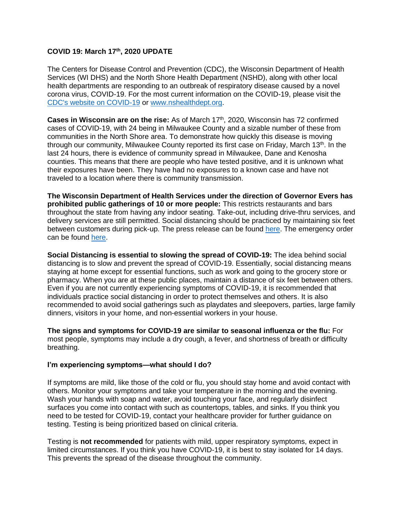## **COVID 19: March 17 th, 2020 UPDATE**

The Centers for Disease Control and Prevention (CDC), the Wisconsin Department of Health Services (WI DHS) and the North Shore Health Department (NSHD), along with other local health departments are responding to an outbreak of respiratory disease caused by a novel corona virus, COVID-19. For the most current information on the COVID-19, please visit the [CDC's website on COVID-19](https://www.cdc.gov/coronavirus/2019-ncov/index.html) or [www.nshealthdept.org.](http://www.nshealthdept.org/)

Cases in Wisconsin are on the rise: As of March 17<sup>th</sup>, 2020, Wisconsin has 72 confirmed cases of COVID-19, with 24 being in Milwaukee County and a sizable number of these from communities in the North Shore area. To demonstrate how quickly this disease is moving through our community, Milwaukee County reported its first case on Friday, March 13<sup>th</sup>. In the last 24 hours, there is evidence of community spread in Milwaukee, Dane and Kenosha counties. This means that there are people who have tested positive, and it is unknown what their exposures have been. They have had no exposures to a known case and have not traveled to a location where there is community transmission.

**The Wisconsin Department of Health Services under the direction of Governor Evers has prohibited public gatherings of 10 or more people:** This restricts restaurants and bars throughout the state from having any indoor seating. Take-out, including drive-thru services, and delivery services are still permitted. Social distancing should be practiced by maintaining six feet between customers during pick-up. The press release can be found [here.](https://content.govdelivery.com/accounts/WIGOV/bulletins/281a7bc) The emergency order can be found [here.](http://www.nshealthdept.org/Portals/NsHealthDept.org/Gov_%20Evers_DHS%20order_3_17_20.pdf)

**Social Distancing is essential to slowing the spread of COVID-19:** The idea behind social distancing is to slow and prevent the spread of COVID-19. Essentially, social distancing means staying at home except for essential functions, such as work and going to the grocery store or pharmacy. When you are at these public places, maintain a distance of six feet between others. Even if you are not currently experiencing symptoms of COVID-19, it is recommended that individuals practice social distancing in order to protect themselves and others. It is also recommended to avoid social gatherings such as playdates and sleepovers, parties, large family dinners, visitors in your home, and non-essential workers in your house.

**The signs and symptoms for COVID-19 are similar to seasonal influenza or the flu:** For most people, symptoms may include a dry cough, a fever, and shortness of breath or difficulty breathing.

## **I'm experiencing symptoms—what should I do?**

If symptoms are mild, like those of the cold or flu, you should stay home and avoid contact with others. Monitor your symptoms and take your temperature in the morning and the evening. Wash your hands with soap and water, avoid touching your face, and regularly disinfect surfaces you come into contact with such as countertops, tables, and sinks. If you think you need to be tested for COVID-19, contact your healthcare provider for further guidance on testing. Testing is being prioritized based on clinical criteria.

Testing is **not recommended** for patients with mild, upper respiratory symptoms, expect in limited circumstances. If you think you have COVID-19, it is best to stay isolated for 14 days. This prevents the spread of the disease throughout the community.